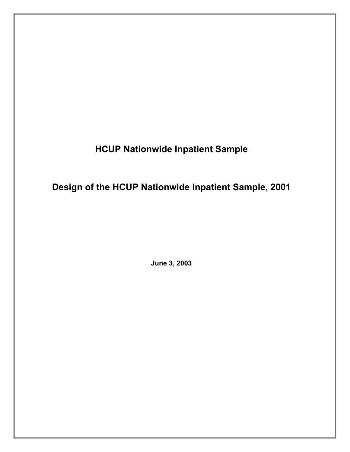**HCUP Nationwide Inpatient Sample** 

**Design of the HCUP Nationwide Inpatient Sample, 2001** 

**June 3, 2003**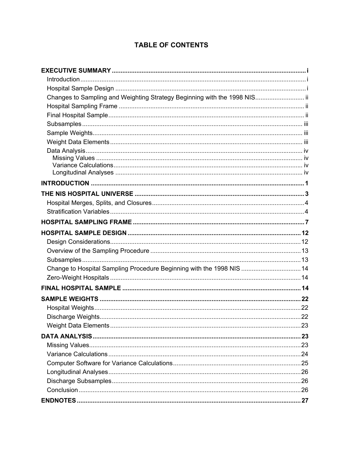# **TABLE OF CONTENTS**

| Changes to Sampling and Weighting Strategy Beginning with the 1998 NIS ii |  |
|---------------------------------------------------------------------------|--|
|                                                                           |  |
|                                                                           |  |
|                                                                           |  |
|                                                                           |  |
|                                                                           |  |
|                                                                           |  |
|                                                                           |  |
|                                                                           |  |
|                                                                           |  |
|                                                                           |  |
|                                                                           |  |
|                                                                           |  |
|                                                                           |  |
|                                                                           |  |
|                                                                           |  |
|                                                                           |  |
|                                                                           |  |
|                                                                           |  |
| Change to Hospital Sampling Procedure Beginning with the 1998 NIS 14      |  |
|                                                                           |  |
|                                                                           |  |
|                                                                           |  |
|                                                                           |  |
|                                                                           |  |
|                                                                           |  |
|                                                                           |  |
|                                                                           |  |
|                                                                           |  |
|                                                                           |  |
|                                                                           |  |
|                                                                           |  |
|                                                                           |  |
|                                                                           |  |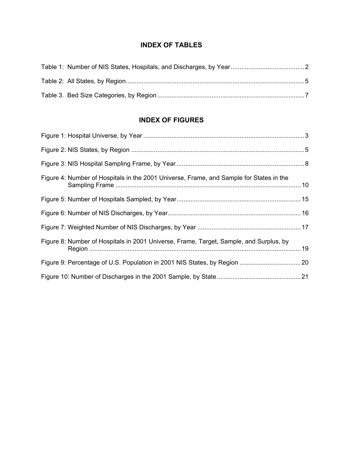# **INDEX OF TABLES**

# **INDEX OF FIGURES**

| Figure 4: Number of Hospitals in the 2001 Universe, Frame, and Sample for States in the |  |
|-----------------------------------------------------------------------------------------|--|
|                                                                                         |  |
|                                                                                         |  |
|                                                                                         |  |
| Figure 8: Number of Hospitals in 2001 Universe, Frame, Target, Sample, and Surplus, by  |  |
|                                                                                         |  |
|                                                                                         |  |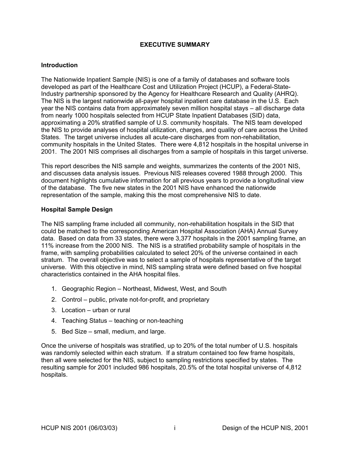# **EXECUTIVE SUMMARY**

#### <span id="page-3-0"></span>**Introduction**

The Nationwide Inpatient Sample (NIS) is one of a family of databases and software tools developed as part of the Healthcare Cost and Utilization Project (HCUP), a Federal-State-Industry partnership sponsored by the Agency for Healthcare Research and Quality (AHRQ). The NIS is the largest nationwide all-payer hospital inpatient care database in the U.S. Each year the NIS contains data from approximately seven million hospital stays – all discharge data from nearly 1000 hospitals selected from HCUP State Inpatient Databases (SID) data, approximating a 20% stratified sample of U.S. community hospitals. The NIS team developed the NIS to provide analyses of hospital utilization, charges, and quality of care across the United States. The target universe includes all acute-care discharges from non-rehabilitation, community hospitals in the United States. There were 4,812 hospitals in the hospital universe in 2001. The 2001 NIS comprises all discharges from a sample of hospitals in this target universe.

This report describes the NIS sample and weights, summarizes the contents of the 2001 NIS, and discusses data analysis issues. Previous NIS releases covered 1988 through 2000. This document highlights cumulative information for all previous years to provide a longitudinal view of the database. The five new states in the 2001 NIS have enhanced the nationwide representation of the sample, making this the most comprehensive NIS to date.

### **Hospital Sample Design**

The NIS sampling frame included all community, non-rehabilitation hospitals in the SID that could be matched to the corresponding American Hospital Association (AHA) Annual Survey data. Based on data from 33 states, there were 3,377 hospitals in the 2001 sampling frame, an 11% increase from the 2000 NIS. The NIS is a stratified probability sample of hospitals in the frame, with sampling probabilities calculated to select 20% of the universe contained in each stratum. The overall objective was to select a sample of hospitals representative of the target universe. With this objective in mind, NIS sampling strata were defined based on five hospital characteristics contained in the AHA hospital files.

- 1. Geographic Region Northeast, Midwest, West, and South
- 2. Control public, private not-for-profit, and proprietary
- 3. Location urban or rural
- 4. Teaching Status teaching or non-teaching
- 5. Bed Size small, medium, and large.

Once the universe of hospitals was stratified, up to 20% of the total number of U.S. hospitals was randomly selected within each stratum. If a stratum contained too few frame hospitals, then all were selected for the NIS, subject to sampling restrictions specified by states. The resulting sample for 2001 included 986 hospitals, 20.5% of the total hospital universe of 4,812 hospitals.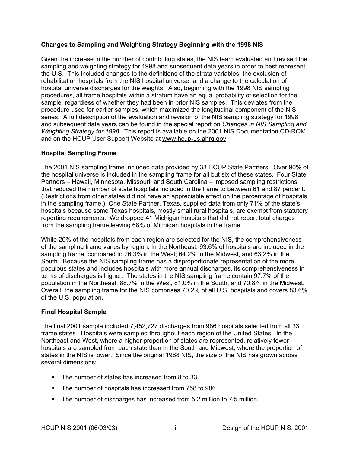# <span id="page-4-0"></span>**Changes to Sampling and Weighting Strategy Beginning with the 1998 NIS**

Given the increase in the number of contributing states, the NIS team evaluated and revised the sampling and weighting strategy for 1998 and subsequent data years in order to best represent the U.S. This included changes to the definitions of the strata variables, the exclusion of rehabilitation hospitals from the NIS hospital universe, and a change to the calculation of hospital universe discharges for the weights. Also, beginning with the 1998 NIS sampling procedures, all frame hospitals within a stratum have an equal probability of selection for the sample, regardless of whether they had been in prior NIS samples. This deviates from the procedure used for earlier samples, which maximized the longitudinal component of the NIS series. A full description of the evaluation and revision of the NIS sampling strategy for 1998 and subsequent data years can be found in the special report on *Changes in NIS Sampling and Weighting Strategy for 1998.* This report is available on the 2001 NIS Documentation CD-ROM and on the HCUP User Support Website at www.hcup-us.ahrq.qov.

# **Hospital Sampling Frame**

The 2001 NIS sampling frame included data provided by 33 HCUP State Partners. Over 90% of the hospital universe is included in the sampling frame for all but six of these states. Four State Partners – Hawaii, Minnesota, Missouri, and South Carolina – imposed sampling restrictions that reduced the number of state hospitals included in the frame to between 61 and 87 percent. (Restrictions from other states did not have an appreciable effect on the percentage of hospitals in the sampling frame.) One State Partner, Texas, supplied data from only 71% of the state's hospitals because some Texas hospitals, mostly small rural hospitals, are exempt from statutory reporting requirements. We dropped 41 Michigan hospitals that did not report total charges from the sampling frame leaving 68% of Michigan hospitals in the frame.

While 20% of the hospitals from each region are selected for the NIS, the comprehensiveness of the sampling frame varies by region. In the Northeast, 93.6% of hospitals are included in the sampling frame, compared to 76.3% in the West; 64.2% in the Midwest, and 63.2% in the South. Because the NIS sampling frame has a disproportionate representation of the more populous states and includes hospitals with more annual discharges, its comprehensiveness in terms of discharges is higher. The states in the NIS sampling frame contain 97.7% of the population in the Northeast, 88.7% in the West, 81.0% in the South, and 70.8% in the Midwest. Overall, the sampling frame for the NIS comprises 70.2% of all U.S. hospitals and covers 83.6% of the U.S. population.

# **Final Hospital Sample**

The final 2001 sample included 7,452,727 discharges from 986 hospitals selected from all 33 frame states. Hospitals were sampled throughout each region of the United States. In the Northeast and West, where a higher proportion of states are represented, relatively fewer hospitals are sampled from each state than in the South and Midwest, where the proportion of states in the NIS is lower. Since the original 1988 NIS, the size of the NIS has grown across several dimensions:

- The number of states has increased from 8 to 33.
- The number of hospitals has increased from 758 to 986.
- The number of discharges has increased from 5.2 million to 7.5 million.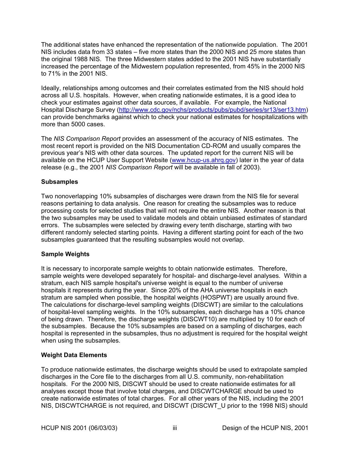<span id="page-5-0"></span>The additional states have enhanced the representation of the nationwide population. The 2001 NIS includes data from 33 states – five more states than the 2000 NIS and 25 more states than the original 1988 NIS. The three Midwestern states added to the 2001 NIS have substantially increased the percentage of the Midwestern population represented, from 45% in the 2000 NIS to 71% in the 2001 NIS.

Ideally, relationships among outcomes and their correlates estimated from the NIS should hold across all U.S. hospitals. However, when creating nationwide estimates, it is a good idea to check your estimates against other data sources, if available. For example, the National Hospital Discharge Survey [\(http://www.cdc.gov/nchs/products/pubs/pubd/series/sr13/ser13.htm](http://www.cdc.gov/nchs/products/pubs/pubd/series/sr13/ser13.htm)) can provide benchmarks against which to check your national estimates for hospitalizations with more than 5000 cases.

The *NIS Comparison Report* provides an assessment of the accuracy of NIS estimates. The most recent report is provided on the NIS Documentation CD-ROM and usually compares the previous year's NIS with other data sources. The updated report for the current NIS will be available on the HCUP User Support Website ([www.hcup-us.ahrq.gov\)](http://www.hcup-us.ahrq.gov/) later in the year of data release (e.g., the 2001 *NIS Comparison Report* will be available in fall of 2003).

# **Subsamples**

Two nonoverlapping 10% subsamples of discharges were drawn from the NIS file for several reasons pertaining to data analysis. One reason for creating the subsamples was to reduce processing costs for selected studies that will not require the entire NIS. Another reason is that the two subsamples may be used to validate models and obtain unbiased estimates of standard errors. The subsamples were selected by drawing every tenth discharge, starting with two different randomly selected starting points. Having a different starting point for each of the two subsamples guaranteed that the resulting subsamples would not overlap.

# **Sample Weights**

It is necessary to incorporate sample weights to obtain nationwide estimates. Therefore, sample weights were developed separately for hospital- and discharge-level analyses. Within a stratum, each NIS sample hospital's universe weight is equal to the number of universe hospitals it represents during the year. Since 20% of the AHA universe hospitals in each stratum are sampled when possible, the hospital weights (HOSPWT) are usually around five. The calculations for discharge-level sampling weights (DISCWT) are similar to the calculations of hospital-level sampling weights. In the 10% subsamples, each discharge has a 10% chance of being drawn. Therefore, the discharge weights (DISCWT10) are multiplied by 10 for each of the subsamples. Because the 10% subsamples are based on a sampling of discharges, each hospital is represented in the subsamples, thus no adjustment is required for the hospital weight when using the subsamples.

# **Weight Data Elements**

To produce nationwide estimates, the discharge weights should be used to extrapolate sampled discharges in the Core file to the discharges from all U.S. community, non-rehabilitation hospitals. For the 2000 NIS, DISCWT should be used to create nationwide estimates for all analyses except those that involve total charges, and DISCWTCHARGE should be used to create nationwide estimates of total charges. For all other years of the NIS, including the 2001 NIS, DISCWTCHARGE is not required, and DISCWT (DISCWT\_U prior to the 1998 NIS) should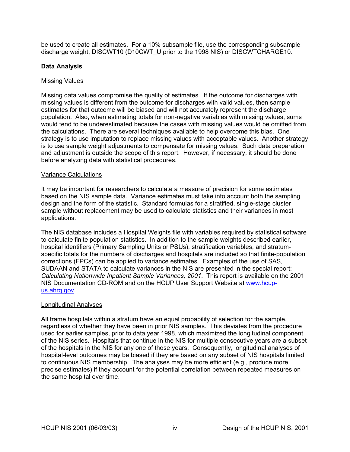<span id="page-6-0"></span>be used to create all estimates. For a 10% subsample file, use the corresponding subsample discharge weight, DISCWT10 (D10CWT\_U prior to the 1998 NIS) or DISCWTCHARGE10.

# **Data Analysis**

### Missing Values

Missing data values compromise the quality of estimates. If the outcome for discharges with missing values is different from the outcome for discharges with valid values, then sample estimates for that outcome will be biased and will not accurately represent the discharge population. Also, when estimating totals for non-negative variables with missing values, sums would tend to be underestimated because the cases with missing values would be omitted from the calculations. There are several techniques available to help overcome this bias. One strategy is to use imputation to replace missing values with acceptable values. Another strategy is to use sample weight adjustments to compensate for missing values. Such data preparation and adjustment is outside the scope of this report. However, if necessary, it should be done before analyzing data with statistical procedures.

### Variance Calculations

It may be important for researchers to calculate a measure of precision for some estimates based on the NIS sample data. Variance estimates must take into account both the sampling design and the form of the statistic. Standard formulas for a stratified, single-stage cluster sample without replacement may be used to calculate statistics and their variances in most applications.

The NIS database includes a Hospital Weights file with variables required by statistical software to calculate finite population statistics. In addition to the sample weights described earlier, hospital identifiers (Primary Sampling Units or PSUs), stratification variables, and stratumspecific totals for the numbers of discharges and hospitals are included so that finite-population corrections (FPCs) can be applied to variance estimates. Examples of the use of SAS, SUDAAN and STATA to calculate variances in the NIS are presented in the special report: *Calculating Nationwide Inpatient Sample Variances, 2001*. This report is available on the 2001 NIS Documentation CD-ROM and on the HCUP User Support Website at [www.hcup](http://www.hcup-us.ahrq.gov/)[us.ahrq.gov.](http://www.hcup-us.ahrq.gov/)

#### Longitudinal Analyses

All frame hospitals within a stratum have an equal probability of selection for the sample, regardless of whether they have been in prior NIS samples. This deviates from the procedure used for earlier samples, prior to data year 1998, which maximized the longitudinal component of the NIS series. Hospitals that continue in the NIS for multiple consecutive years are a subset of the hospitals in the NIS for any one of those years. Consequently, longitudinal analyses of hospital-level outcomes may be biased if they are based on any subset of NIS hospitals limited to continuous NIS membership. The analyses may be more efficient (e.g., produce more precise estimates) if they account for the potential correlation between repeated measures on the same hospital over time.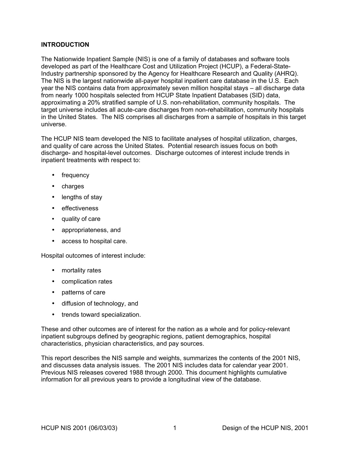# <span id="page-7-0"></span>**INTRODUCTION**

The Nationwide Inpatient Sample (NIS) is one of a family of databases and software tools developed as part of the Healthcare Cost and Utilization Project (HCUP), a Federal-State-Industry partnership sponsored by the Agency for Healthcare Research and Quality (AHRQ). The NIS is the largest nationwide all-payer hospital inpatient care database in the U.S. Each year the NIS contains data from approximately seven million hospital stays – all discharge data from nearly 1000 hospitals selected from HCUP State Inpatient Databases (SID) data, approximating a 20% stratified sample of U.S. non-rehabilitation, community hospitals. The target universe includes all acute-care discharges from non-rehabilitation, community hospitals in the United States. The NIS comprises all discharges from a sample of hospitals in this target universe.

The HCUP NIS team developed the NIS to facilitate analyses of hospital utilization, charges, and quality of care across the United States. Potential research issues focus on both discharge- and hospital-level outcomes. Discharge outcomes of interest include trends in inpatient treatments with respect to:

- frequency
- charges
- lengths of stay
- effectiveness
- quality of care
- appropriateness, and
- access to hospital care.

Hospital outcomes of interest include:

- mortality rates
- complication rates
- patterns of care
- diffusion of technology, and
- trends toward specialization.

These and other outcomes are of interest for the nation as a whole and for policy-relevant inpatient subgroups defined by geographic regions, patient demographics, hospital characteristics, physician characteristics, and pay sources.

This report describes the NIS sample and weights, summarizes the contents of the 2001 NIS, and discusses data analysis issues. The 2001 NIS includes data for calendar year 2001. Previous NIS releases covered 1988 through 2000. This document highlights cumulative information for all previous years to provide a longitudinal view of the database.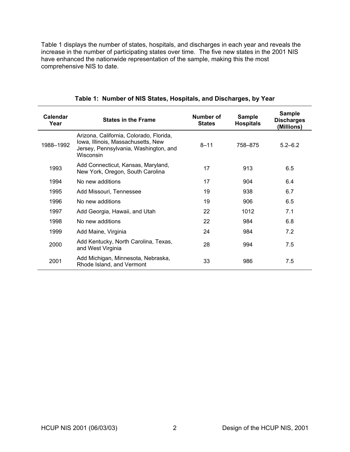<span id="page-8-0"></span>[Table](#page-8-1) 1 displays the number of states, hospitals, and discharges in each year and reveals the increase in the number of participating states over time. The five new states in the 2001 NIS have enhanced the nationwide representation of the sample, making this the most comprehensive NIS to date.

| Calendar<br>Year | <b>States in the Frame</b>                                                                                                          | Number of<br><b>States</b> | <b>Sample</b><br><b>Hospitals</b> | <b>Sample</b><br><b>Discharges</b><br>(Millions) |
|------------------|-------------------------------------------------------------------------------------------------------------------------------------|----------------------------|-----------------------------------|--------------------------------------------------|
| 1988-1992        | Arizona, California, Colorado, Florida,<br>Iowa, Illinois, Massachusetts, New<br>Jersey, Pennsylvania, Washington, and<br>Wisconsin | $8 - 11$                   | 758-875                           | $5.2 - 6.2$                                      |
| 1993             | Add Connecticut, Kansas, Maryland,<br>New York, Oregon, South Carolina                                                              | 17                         | 913                               | 6.5                                              |
| 1994             | No new additions                                                                                                                    | 17                         | 904                               | 6.4                                              |
| 1995             | Add Missouri, Tennessee                                                                                                             | 19                         | 938                               | 6.7                                              |
| 1996             | No new additions                                                                                                                    | 19                         | 906                               | 6.5                                              |
| 1997             | Add Georgia, Hawaii, and Utah                                                                                                       | 22                         | 1012                              | 7.1                                              |
| 1998             | No new additions                                                                                                                    | 22                         | 984                               | 6.8                                              |
| 1999             | Add Maine, Virginia                                                                                                                 | 24                         | 984                               | 7.2                                              |
| 2000             | Add Kentucky, North Carolina, Texas,<br>and West Virginia                                                                           | 28                         | 994                               | 7.5                                              |
| 2001             | Add Michigan, Minnesota, Nebraska,<br>Rhode Island, and Vermont                                                                     | 33                         | 986                               | 7.5                                              |

### <span id="page-8-1"></span>**Table 1: Number of NIS States, Hospitals, and Discharges, by Year**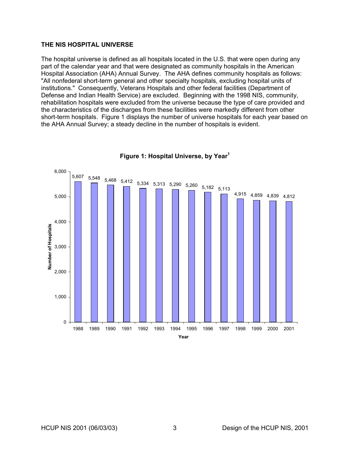### <span id="page-9-0"></span>**THE NIS HOSPITAL UNIVERSE**

The hospital universe is defined as all hospitals located in the U.S. that were open during any part of the calendar year and that were designated as community hospitals in the American Hospital Association (AHA) Annual Survey. The AHA defines community hospitals as follows: "All nonfederal short-term general and other specialty hospitals, excluding hospital units of institutions." Consequently, Veterans Hospitals and other federal facilities (Department of Defense and Indian Health Service) are excluded. Beginning with the 1998 NIS, community, rehabilitation hospitals were excluded from the universe because the type of care provided and the characteristics of the discharges from these facilities were markedly different from other short-term hospitals. [Figure 1](#page-9-1) displays the number of universe hospitals for each year based on the AHA Annual Survey; a steady decline in the number of hospitals is evident.



<span id="page-9-1"></span>**Figure 1: Hospital Universe, by Yea[r1](#page-33-1)**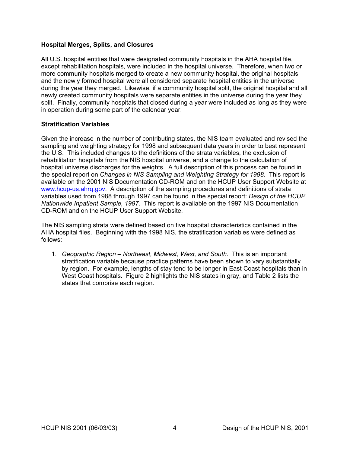### <span id="page-10-0"></span>**Hospital Merges, Splits, and Closures**

All U.S. hospital entities that were designated community hospitals in the AHA hospital file, except rehabilitation hospitals, were included in the hospital universe. Therefore, when two or more community hospitals merged to create a new community hospital, the original hospitals and the newly formed hospital were all considered separate hospital entities in the universe during the year they merged. Likewise, if a community hospital split, the original hospital and all newly created community hospitals were separate entities in the universe during the year they split. Finally, community hospitals that closed during a year were included as long as they were in operation during some part of the calendar year.

### **Stratification Variables**

Given the increase in the number of contributing states, the NIS team evaluated and revised the sampling and weighting strategy for 1998 and subsequent data years in order to best represent the U.S. This included changes to the definitions of the strata variables, the exclusion of rehabilitation hospitals from the NIS hospital universe, and a change to the calculation of hospital universe discharges for the weights. A full description of this process can be found in the special report on *Changes in NIS Sampling and Weighting Strategy for 1998.* This report is available on the 2001 NIS Documentation CD-ROM and on the HCUP User Support Website at [www.hcup-us.ahrq.gov.](http://www.hcup-us.ahrq.gov/) A description of the sampling procedures and definitions of strata variables used from 1988 through 1997 can be found in the special report: *Design of the HCUP Nationwide Inpatient Sample, 1997.* This report is available on the 1997 NIS Documentation CD-ROM and on the HCUP User Support Website.

The NIS sampling strata were defined based on five hospital characteristics contained in the AHA hospital files. Beginning with the 1998 NIS, the stratification variables were defined as follows:

1. *Geographic Region – Northeast, Midwest, West, and South*. This is an important stratification variable because practice patterns have been shown to vary substantially by region. For example, lengths of stay tend to be longer in East Coast hospitals than in West Coast hospitals. Figure 2 highlights the NIS states in gray, and [Table 2](#page-11-2) lists the states that comprise each region.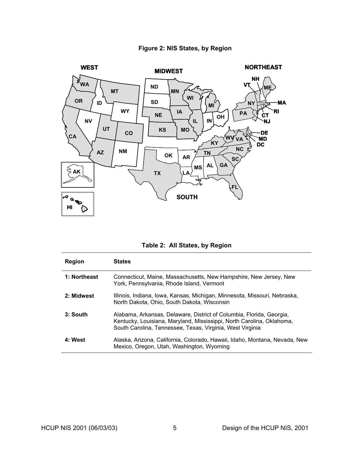<span id="page-11-0"></span>

# <span id="page-11-1"></span>**Figure 2: NIS States, by Region**

<span id="page-11-2"></span>**Table 2: All States, by Region** 

| Region       | <b>States</b>                                                                                                                                                                                              |
|--------------|------------------------------------------------------------------------------------------------------------------------------------------------------------------------------------------------------------|
| 1: Northeast | Connecticut, Maine, Massachusetts, New Hampshire, New Jersey, New<br>York, Pennsylvania, Rhode Island, Vermont                                                                                             |
| 2: Midwest   | Illinois, Indiana, Iowa, Kansas, Michigan, Minnesota, Missouri, Nebraska,<br>North Dakota, Ohio, South Dakota, Wisconsin                                                                                   |
| 3: South     | Alabama, Arkansas, Delaware, District of Columbia, Florida, Georgia,<br>Kentucky, Louisiana, Maryland, Mississippi, North Carolina, Oklahoma,<br>South Carolina, Tennessee, Texas, Virginia, West Virginia |
| 4: West      | Alaska, Arizona, California, Colorado, Hawaii, Idaho, Montana, Nevada, New<br>Mexico, Oregon, Utah, Washington, Wyoming                                                                                    |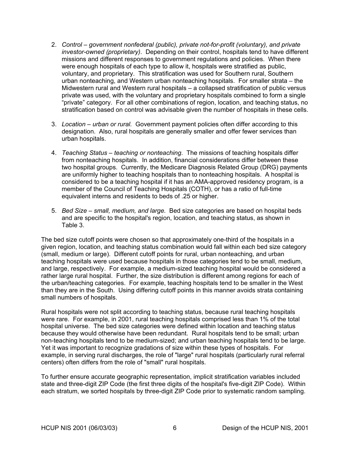- 2. *Control government nonfederal (public), private not-for-profit (voluntary), and private investor-owned (proprietary)*. Depending on their control, hospitals tend to have different missions and different responses to government regulations and policies. When there were enough hospitals of each type to allow it, hospitals were stratified as public, voluntary, and proprietary. This stratification was used for Southern rural, Southern urban nonteaching, and Western urban nonteaching hospitals. For smaller strata – the Midwestern rural and Western rural hospitals – a collapsed stratification of public versus private was used, with the voluntary and proprietary hospitals combined to form a single "private" category. For all other combinations of region, location, and teaching status, no stratification based on control was advisable given the number of hospitals in these cells.
- 3. *Location urban or rural.* Government payment policies often differ according to this designation. Also, rural hospitals are generally smaller and offer fewer services than urban hospitals.
- 4. *Teaching Status teaching or nonteaching*. The missions of teaching hospitals differ from nonteaching hospitals. In addition, financial considerations differ between these two hospital groups. Currently, the Medicare Diagnosis Related Group (DRG) payments are uniformly higher to teaching hospitals than to nonteaching hospitals. A hospital is considered to be a teaching hospital if it has an AMA-approved residency program, is a member of the Council of Teaching Hospitals (COTH), or has a ratio of full-time equivalent interns and residents to beds of .25 or higher.
- 5. *Bed Size small, medium, and large.* Bed size categories are based on hospital beds and are specific to the hospital's region, location, and teaching status, as shown in [Table](#page-13-1) 3.

The bed size cutoff points were chosen so that approximately one-third of the hospitals in a given region, location, and teaching status combination would fall within each bed size category (small, medium or large). Different cutoff points for rural, urban nonteaching, and urban teaching hospitals were used because hospitals in those categories tend to be small, medium, and large, respectively. For example, a medium-sized teaching hospital would be considered a rather large rural hospital. Further, the size distribution is different among regions for each of the urban/teaching categories. For example, teaching hospitals tend to be smaller in the West than they are in the South. Using differing cutoff points in this manner avoids strata containing small numbers of hospitals.

Rural hospitals were not split according to teaching status, because rural teaching hospitals were rare. For example, in 2001, rural teaching hospitals comprised less than 1% of the total hospital universe. The bed size categories were defined within location and teaching status because they would otherwise have been redundant. Rural hospitals tend to be small; urban non-teaching hospitals tend to be medium-sized; and urban teaching hospitals tend to be large. Yet it was important to recognize gradations of size within these types of hospitals. For example, in serving rural discharges, the role of "large" rural hospitals (particularly rural referral centers) often differs from the role of "small" rural hospitals.

To further ensure accurate geographic representation, implicit stratification variables included state and three-digit ZIP Code (the first three digits of the hospital's five-digit ZIP Code). Within each stratum, we sorted hospitals by three-digit ZIP Code prior to systematic random sampling.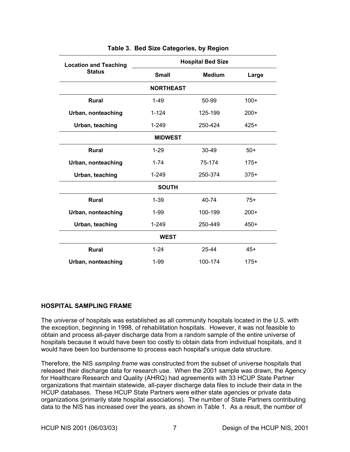<span id="page-13-0"></span>

| <b>Location and Teaching</b> | <b>Hospital Bed Size</b> |               |        |
|------------------------------|--------------------------|---------------|--------|
| <b>Status</b>                | <b>Small</b>             | <b>Medium</b> | Large  |
|                              | <b>NORTHEAST</b>         |               |        |
| <b>Rural</b>                 | $1-49$                   | 50-99         | $100+$ |
| Urban, nonteaching           | $1 - 124$                | 125-199       | $200+$ |
| Urban, teaching              | $1 - 249$                | 250-424       | $425+$ |
| <b>MIDWEST</b>               |                          |               |        |
| <b>Rural</b>                 | $1-29$                   | $30 - 49$     | $50+$  |
| Urban, nonteaching           | $1 - 74$                 | 75-174        | $175+$ |
| Urban, teaching              | 1-249                    | 250-374       | $375+$ |
| <b>SOUTH</b>                 |                          |               |        |
| <b>Rural</b>                 | $1 - 39$                 | 40-74         | $75+$  |
| Urban, nonteaching           | $1 - 99$                 | 100-199       | $200+$ |
| Urban, teaching              | 1-249                    | 250-449       | $450+$ |
| <b>WEST</b>                  |                          |               |        |
| <b>Rural</b>                 | $1 - 24$                 | 25-44         | $45+$  |
| Urban, nonteaching           | $1 - 99$                 | 100-174       | $175+$ |

### <span id="page-13-1"></span>**Table 3. Bed Size Categories, by Region**

# **HOSPITAL SAMPLING FRAME**

The *universe* of hospitals was established as all community hospitals located in the U.S. with the exception, beginning in 1998, of rehabilitation hospitals. However, it was not feasible to obtain and process all-payer discharge data from a random sample of the entire universe of hospitals because it would have been too costly to obtain data from individual hospitals, and it would have been too burdensome to process each hospital's unique data structure.

Therefore, the NIS *sampling frame* was constructed from the subset of universe hospitals that released their discharge data for research use. When the 2001 sample was drawn, the Agency for Healthcare Research and Quality (AHRQ) had agreements with 33 HCUP State Partner organizations that maintain statewide, all-payer discharge data files to include their data in the HCUP databases. These HCUP State Partners were either state agencies or private data organizations (primarily state hospital associations). The number of State Partners contributing data to the NIS has increased over the years, as shown in Table 1. As a result, the number of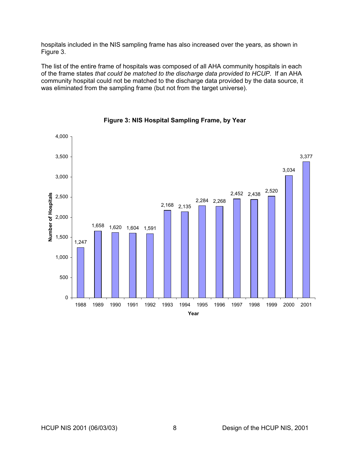<span id="page-14-0"></span>hospitals included in the NIS sampling frame has also increased over the years, as shown in [Figure](#page-14-1) 3.

The list of the entire frame of hospitals was composed of all AHA community hospitals in each of the frame states *that could be matched to the discharge data provided to HCUP*. If an AHA community hospital could not be matched to the discharge data provided by the data source, it was eliminated from the sampling frame (but not from the target universe).



<span id="page-14-1"></span>**Figure 3: NIS Hospital Sampling Frame, by Year**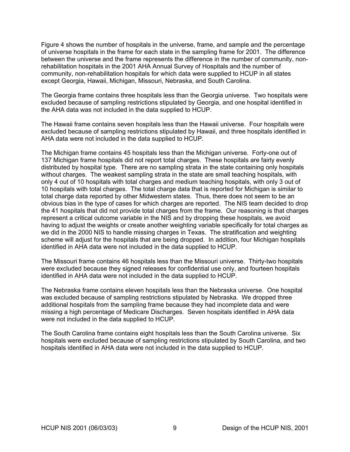[Figure](#page-16-1) 4 shows the number of hospitals in the universe, frame, and sample and the percentage of universe hospitals in the frame for each state in the sampling frame for 2001. The difference between the universe and the frame represents the difference in the number of community, nonrehabilitation hospitals in the 2001 AHA Annual Survey of Hospitals and the number of community, non-rehabilitation hospitals for which data were supplied to HCUP in all states except Georgia, Hawaii, Michigan, Missouri, Nebraska, and South Carolina.

The Georgia frame contains three hospitals less than the Georgia universe. Two hospitals were excluded because of sampling restrictions stipulated by Georgia, and one hospital identified in the AHA data was not included in the data supplied to HCUP.

The Hawaii frame contains seven hospitals less than the Hawaii universe. Four hospitals were excluded because of sampling restrictions stipulated by Hawaii, and three hospitals identified in AHA data were not included in the data supplied to HCUP.

The Michigan frame contains 45 hospitals less than the Michigan universe. Forty-one out of 137 Michigan frame hospitals did not report total charges. These hospitals are fairly evenly distributed by hospital type. There are no sampling strata in the state containing only hospitals without charges. The weakest sampling strata in the state are small teaching hospitals, with only 4 out of 10 hospitals with total charges and medium teaching hospitals, with only 3 out of 10 hospitals with total charges. The total charge data that is reported for Michigan is similar to total charge data reported by other Midwestern states. Thus, there does not seem to be an obvious bias in the type of cases for which charges are reported. The NIS team decided to drop the 41 hospitals that did not provide total charges from the frame. Our reasoning is that charges represent a critical outcome variable in the NIS and by dropping these hospitals, we avoid having to adjust the weights or create another weighting variable specifically for total charges as we did in the 2000 NIS to handle missing charges in Texas. The stratification and weighting scheme will adjust for the hospitals that are being dropped. In addition, four Michigan hospitals identified in AHA data were not included in the data supplied to HCUP.

The Missouri frame contains 46 hospitals less than the Missouri universe. Thirty-two hospitals were excluded because they signed releases for confidential use only, and fourteen hospitals identified in AHA data were not included in the data supplied to HCUP.

The Nebraska frame contains eleven hospitals less than the Nebraska universe. One hospital was excluded because of sampling restrictions stipulated by Nebraska. We dropped three additional hospitals from the sampling frame because they had incomplete data and were missing a high percentage of Medicare Discharges. Seven hospitals identified in AHA data were not included in the data supplied to HCUP.

The South Carolina frame contains eight hospitals less than the South Carolina universe. Six hospitals were excluded because of sampling restrictions stipulated by South Carolina, and two hospitals identified in AHA data were not included in the data supplied to HCUP.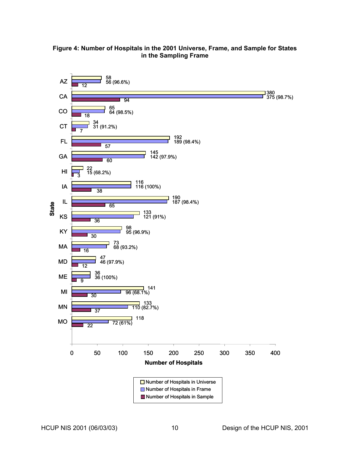<span id="page-16-1"></span><span id="page-16-0"></span>

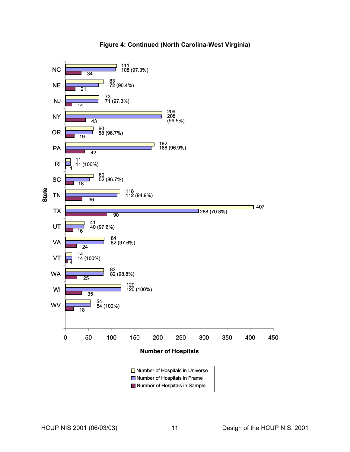#### **Number of Hospitals** 111 108 (97.3%) 83 72 (90.4%) 0 50 100 150 200 250 300 350 400 450 WV WI WA VT VA UT TX TN **SC** RI PA OR NY NJ **NE** NC **State** 73 71 (97.3%) 209 208 (99.5%) 60 58 (96.7%) 192 186 (96.9%) 11 11 (100%) 60 52 (86.7%) 118 112 (94.9%) 407 288 (70.8%) <sup>90</sup>  $\frac{41}{16}$  40 (97.6%) **84**<br>**82** (97.6%)<br>**24**  $\frac{1}{4}$   $\frac{14}{14}$  (100%) **83** (98.8%)<br>25 120 120 (100%) <sup>35</sup>  $\frac{54}{18}$  54 (100%) 34 21 14 43 <sub>10</sub> 36 1 18  $\overline{42}$ ■ Number of Hospitals in Sample **■** Number of Hospitals in Frame **□ Number of Hospitals in Universe**

# **Figure 4: Continued (North Carolina-West Virginia)**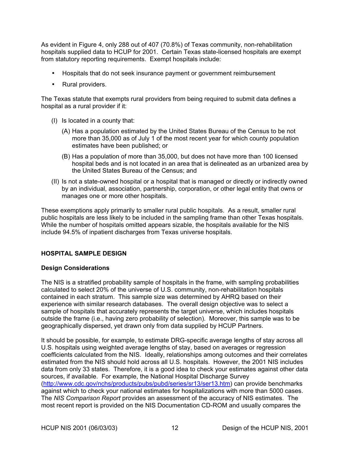<span id="page-18-0"></span>As evident in [Figure 4,](#page-16-1) only 288 out of 407 (70.8%) of Texas community, non-rehabilitation hospitals supplied data to HCUP for 2001. Certain Texas state-licensed hospitals are exempt from statutory reporting requirements. Exempt hospitals include:

- Hospitals that do not seek insurance payment or government reimbursement
- Rural providers.

The Texas statute that exempts rural providers from being required to submit data defines a hospital as a rural provider if it:

- (I) Is located in a county that:
	- (A) Has a population estimated by the United States Bureau of the Census to be not more than 35,000 as of July 1 of the most recent year for which county population estimates have been published; or
	- (B) Has a population of more than 35,000, but does not have more than 100 licensed hospital beds and is not located in an area that is delineated as an urbanized area by the United States Bureau of the Census; and
- (II) Is not a state-owned hospital or a hospital that is managed or directly or indirectly owned by an individual, association, partnership, corporation, or other legal entity that owns or manages one or more other hospitals.

These exemptions apply primarily to smaller rural public hospitals. As a result, smaller rural public hospitals are less likely to be included in the sampling frame than other Texas hospitals. While the number of hospitals omitted appears sizable, the hospitals available for the NIS include 94.5% of inpatient discharges from Texas universe hospitals.

# **HOSPITAL SAMPLE DESIGN**

# **Design Considerations**

The NIS is a stratified probability sample of hospitals in the frame, with sampling probabilities calculated to select 20% of the universe of U.S. community, non-rehabilitation hospitals contained in each stratum. This sample size was determined by AHRQ based on their experience with similar research databases. The overall design objective was to select a sample of hospitals that accurately represents the target universe, which includes hospitals outside the frame (i.e., having zero probability of selection). Moreover, this sample was to be geographically dispersed, yet drawn only from data supplied by HCUP Partners.

It should be possible, for example, to estimate DRG-specific average lengths of stay across all U.S. hospitals using weighted average lengths of stay, based on averages or regression coefficients calculated from the NIS. Ideally, relationships among outcomes and their correlates estimated from the NIS should hold across all U.S. hospitals. However, the 2001 NIS includes data from only 33 states. Therefore, it is a good idea to check your estimates against other data sources, if available. For example, the National Hospital Discharge Survey ([http://www.cdc.gov/nchs/products/pubs/pubd/series/sr13/ser13.htm\)](http://www.cdc.gov/nchs/products/pubs/pubd/series/sr13/ser13.htm) can provide benchmarks against which to check your national estimates for hospitalizations with more than 5000 cases. The *NIS Comparison Report* provides an assessment of the accuracy of NIS estimates. The most recent report is provided on the NIS Documentation CD-ROM and usually compares the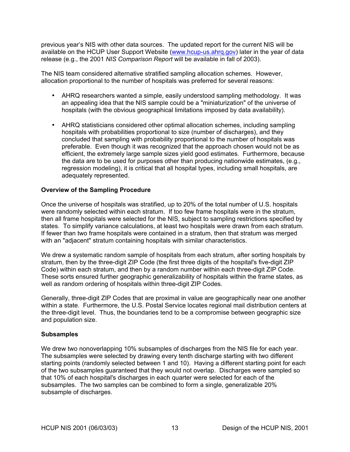<span id="page-19-0"></span>previous year's NIS with other data sources. The updated report for the current NIS will be available on the HCUP User Support Website (www.hcup-us.ahrg.gov) later in the year of data release (e.g., the 2001 *NIS Comparison Report* will be available in fall of 2003).

The NIS team considered alternative stratified sampling allocation schemes. However, allocation proportional to the number of hospitals was preferred for several reasons:

- AHRQ researchers wanted a simple, easily understood sampling methodology. It was an appealing idea that the NIS sample could be a "miniaturization" of the universe of hospitals (with the obvious geographical limitations imposed by data availability).
- AHRQ statisticians considered other optimal allocation schemes, including sampling hospitals with probabilities proportional to size (number of discharges), and they concluded that sampling with probability proportional to the number of hospitals was preferable. Even though it was recognized that the approach chosen would not be as efficient, the extremely large sample sizes yield good estimates. Furthermore, because the data are to be used for purposes other than producing nationwide estimates, (e.g., regression modeling), it is critical that all hospital types, including small hospitals, are adequately represented.

# **Overview of the Sampling Procedure**

Once the universe of hospitals was stratified, up to 20% of the total number of U.S. hospitals were randomly selected within each stratum. If too few frame hospitals were in the stratum, then all frame hospitals were selected for the NIS, subject to sampling restrictions specified by states. To simplify variance calculations, at least two hospitals were drawn from each stratum. If fewer than two frame hospitals were contained in a stratum, then that stratum was merged with an "adjacent" stratum containing hospitals with similar characteristics.

We drew a systematic random sample of hospitals from each stratum, after sorting hospitals by stratum, then by the three-digit ZIP Code (the first three digits of the hospital's five-digit ZIP Code) within each stratum, and then by a random number within each three-digit ZIP Code. These sorts ensured further geographic generalizability of hospitals within the frame states, as well as random ordering of hospitals within three-digit ZIP Codes.

Generally, three-digit ZIP Codes that are proximal in value are geographically near one another within a state. Furthermore, the U.S. Postal Service locates regional mail distribution centers at the three-digit level. Thus, the boundaries tend to be a compromise between geographic size and population size.

#### **Subsamples**

We drew two nonoverlapping 10% subsamples of discharges from the NIS file for each year. The subsamples were selected by drawing every tenth discharge starting with two different starting points (randomly selected between 1 and 10). Having a different starting point for each of the two subsamples guaranteed that they would not overlap. Discharges were sampled so that 10% of each hospital's discharges in each quarter were selected for each of the subsamples. The two samples can be combined to form a single, generalizable 20% subsample of discharges.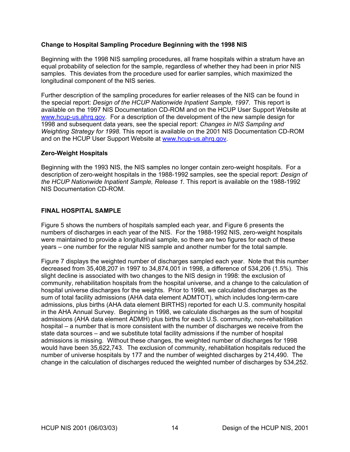# <span id="page-20-0"></span>**Change to Hospital Sampling Procedure Beginning with the 1998 NIS**

Beginning with the 1998 NIS sampling procedures, all frame hospitals within a stratum have an equal probability of selection for the sample, regardless of whether they had been in prior NIS samples. This deviates from the procedure used for earlier samples, which maximized the longitudinal component of the NIS series.

Further description of the sampling procedures for earlier releases of the NIS can be found in the special report: *Design of the HCUP Nationwide Inpatient Sample, 1997*. This report is available on the 1997 NIS Documentation CD-ROM and on the HCUP User Support Website at [www.hcup-us.ahrq.gov.](http://www.hcup-us.ahrq.gov/) For a description of the development of the new sample design for 1998 and subsequent data years, see the special report: *Changes in NIS Sampling and Weighting Strategy for 1998.* This report is available on the 2001 NIS Documentation CD-ROM and on the HCUP User Support Website at www.hcup-us.ahrg.gov.

### **Zero-Weight Hospitals**

Beginning with the 1993 NIS, the NIS samples no longer contain zero-weight hospitals. For a description of zero-weight hospitals in the 1988-1992 samples, see the special report: *Design of the HCUP Nationwide Inpatient Sample, Release 1.* This report is available on the 1988-1992 NIS Documentation CD-ROM.

### **FINAL HOSPITAL SAMPLE**

[Figure](#page-21-1) 5 shows the numbers of hospitals sampled each year, and [Figure 6](#page-21-2) presents the numbers of discharges in each year of the NIS. For the 1988-1992 NIS, zero-weight hospitals were maintained to provide a longitudinal sample, so there are two figures for each of these years – one number for the regular NIS sample and another number for the total sample.

[Figure](#page-22-1) 7 displays the weighted number of discharges sampled each year. Note that this number decreased from 35,408,207 in 1997 to 34,874,001 in 1998, a difference of 534,206 (1.5%). This slight decline is associated with two changes to the NIS design in 1998: the exclusion of community, rehabilitation hospitals from the hospital universe, and a change to the calculation of hospital universe discharges for the weights. Prior to 1998, we calculated discharges as the sum of total facility admissions (AHA data element ADMTOT), which includes long-term-care admissions, plus births (AHA data element BIRTHS) reported for each U.S. community hospital in the AHA Annual Survey. Beginning in 1998, we calculate discharges as the sum of hospital admissions (AHA data element ADMH) plus births for each U.S. community, non-rehabilitation hospital – a number that is more consistent with the number of discharges we receive from the state data sources – and we substitute total facility admissions if the number of hospital admissions is missing. Without these changes, the weighted number of discharges for 1998 would have been 35,622,743. The exclusion of community, rehabilitation hospitals reduced the number of universe hospitals by 177 and the number of weighted discharges by 214,490. The change in the calculation of discharges reduced the weighted number of discharges by 534,252.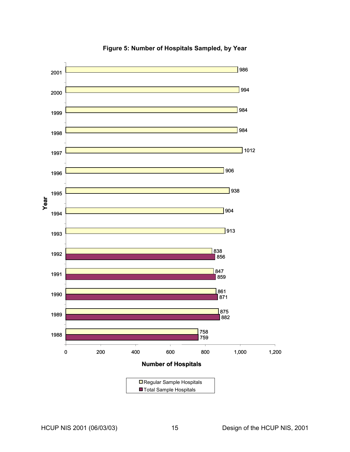<span id="page-21-0"></span>

<span id="page-21-2"></span><span id="page-21-1"></span>**Figure 5: Number of Hospitals Sampled, by Year**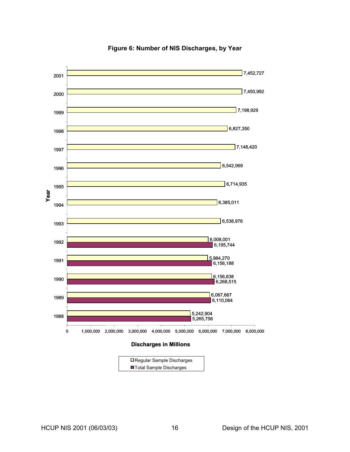<span id="page-22-0"></span>

<span id="page-22-1"></span>**Figure 6: Number of NIS Discharges, by Year** 

#### **Discharges in Millions**

| $\Box$ Regular Sample Discharges |  |
|----------------------------------|--|
| ■ Total Sample Discharges        |  |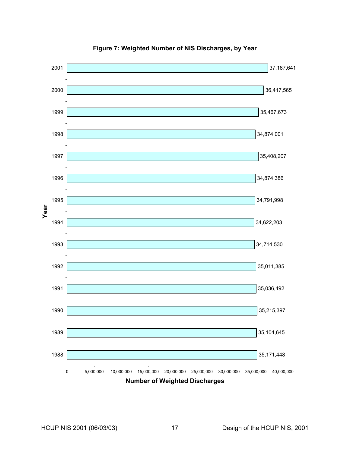<span id="page-23-0"></span>

**Figure 7: Weighted Number of NIS Discharges, by Year**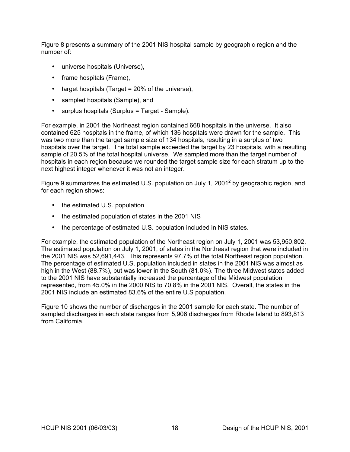[Figure](#page-25-1) 8 presents a summary of the 2001 NIS hospital sample by geographic region and the number of:

- universe hospitals (Universe),
- frame hospitals (Frame),
- target hospitals (Target  $= 20\%$  of the universe),
- sampled hospitals (Sample), and
- surplus hospitals (Surplus = Target Sample).

For example, in 2001 the Northeast region contained 668 hospitals in the universe. It also contained 625 hospitals in the frame, of which 136 hospitals were drawn for the sample. This was two more than the target sample size of 134 hospitals, resulting in a surplus of two hospitals over the target. The total sample exceeded the target by 23 hospitals, with a resulting sample of 20.5% of the total hospital universe. We sampled more than the target number of hospitals in each region because we rounded the target sample size for each stratum up to the next highest integer whenever it was not an integer.

Figure 9 summarizes the estimated U.S. population on July 1, [2](#page-33-2)001<sup>2</sup> by geographic region, and for each region shows:

- the estimated U.S. population
- the estimated population of states in the 2001 NIS
- the percentage of estimated U.S. population included in NIS states.

For example, the estimated population of the Northeast region on July 1, 2001 was 53,950,802. The estimated population on July 1, 2001, of states in the Northeast region that were included in the 2001 NIS was 52,691,443. This represents 97.7% of the total Northeast region population. The percentage of estimated U.S. population included in states in the 2001 NIS was almost as high in the West (88.7%), but was lower in the South (81.0%). The three Midwest states added to the 2001 NIS have substantially increased the percentage of the Midwest population represented, from 45.0% in the 2000 NIS to 70.8% in the 2001 NIS. Overall, the states in the 2001 NIS include an estimated 83.6% of the entire U.S population.

Figure 10 shows the number of discharges in the 2001 sample for each state. The number of sampled discharges in each state ranges from 5,906 discharges from Rhode Island to 893,813 from California.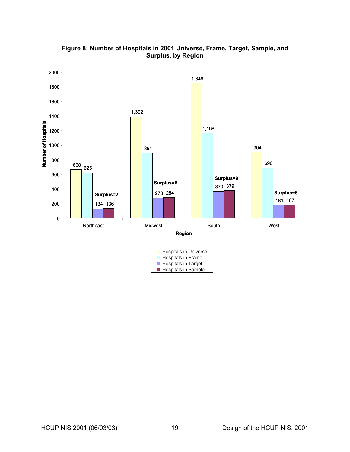<span id="page-25-0"></span>

<span id="page-25-1"></span>**Figure 8: Number of Hospitals in 2001 Universe, Frame, Target, Sample, and Surplus, by Region**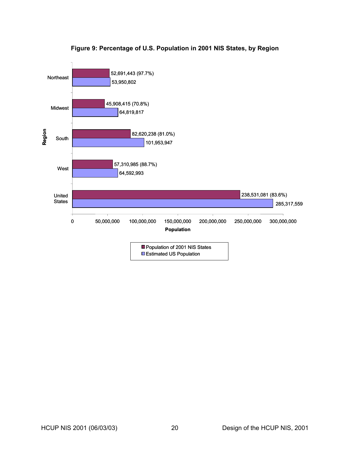<span id="page-26-0"></span>

# **Figure 9: Percentage of U.S. Population in 2001 NIS States, by Region**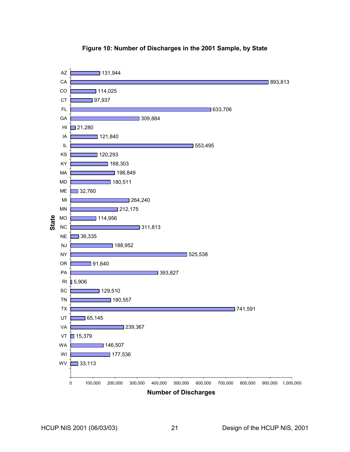<span id="page-27-0"></span>

# **Figure 10: Number of Discharges in the 2001 Sample, by State**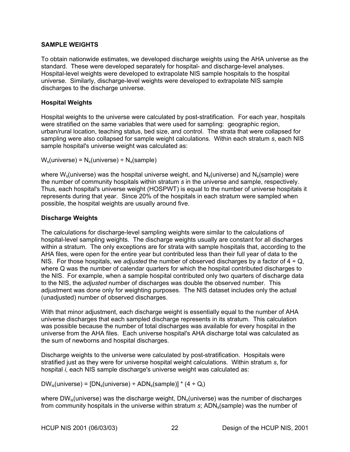# <span id="page-28-0"></span>**SAMPLE WEIGHTS**

To obtain nationwide estimates, we developed discharge weights using the AHA universe as the standard. These were developed separately for hospital- and discharge-level analyses. Hospital-level weights were developed to extrapolate NIS sample hospitals to the hospital universe. Similarly, discharge-level weights were developed to extrapolate NIS sample discharges to the discharge universe.

# **Hospital Weights**

Hospital weights to the universe were calculated by post-stratification. For each year, hospitals were stratified on the same variables that were used for sampling: geographic region, urban/rural location, teaching status, bed size, and control. The strata that were collapsed for sampling were also collapsed for sample weight calculations. Within each stratum *s*, each NIS sample hospital's universe weight was calculated as:

 $W_s$ (universe) =  $N_s$ (universe) ÷  $N_s$ (sample)

where  $W_s$ (universe) was the hospital universe weight, and  $N_s$ (universe) and  $N_s$ (sample) were the number of community hospitals within stratum *s* in the universe and sample, respectively. Thus, each hospital's universe weight (HOSPWT) is equal to the number of universe hospitals it represents during that year. Since 20% of the hospitals in each stratum were sampled when possible, the hospital weights are usually around five.

# **Discharge Weights**

The calculations for discharge-level sampling weights were similar to the calculations of hospital-level sampling weights. The discharge weights usually are constant for all discharges within a stratum. The only exceptions are for strata with sample hospitals that, according to the AHA files, were open for the entire year but contributed less than their full year of data to the NIS. For those hospitals, we *adjusted* the number of observed discharges by a factor of 4 ÷ Q, where Q was the number of calendar quarters for which the hospital contributed discharges to the NIS. For example, when a sample hospital contributed only two quarters of discharge data to the NIS, the *adjusted* number of discharges was double the observed number. This adjustment was done only for weighting purposes. The NIS dataset includes only the actual (unadjusted) number of observed discharges.

With that minor adjustment, each discharge weight is essentially equal to the number of AHA universe discharges that each sampled discharge represents in its stratum. This calculation was possible because the number of total discharges was available for every hospital in the universe from the AHA files. Each universe hospital's AHA discharge total was calculated as the sum of newborns and hospital discharges.

Discharge weights to the universe were calculated by post-stratification. Hospitals were stratified just as they were for universe hospital weight calculations. Within stratum *s*, for hospital *i*, each NIS sample discharge's universe weight was calculated as:

 $DW_{is}$ (universe) =  $[DN_s$ (universe) ÷ ADN<sub>s</sub>(sample)] \* (4 ÷ Q<sub>i</sub>)

where  $DW_{is}$ (universe) was the discharge weight,  $DN_s$ (universe) was the number of discharges from community hospitals in the universe within stratum *s*; ADN<sub>s</sub>(sample) was the number of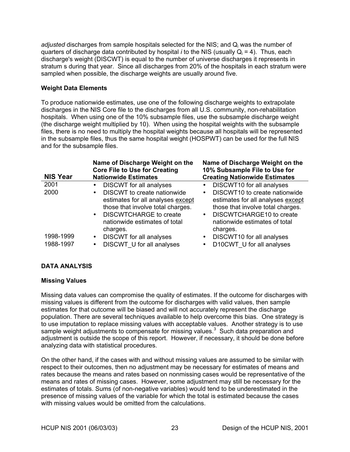<span id="page-29-0"></span>*adjusted* discharges from sample hospitals selected for the NIS; and Qi was the number of quarters of discharge data contributed by hospital *i* to the NIS (usually  $Q_i = 4$ ). Thus, each discharge's weight (DISCWT) is equal to the number of universe discharges it represents in stratum s during that year. Since all discharges from 20% of the hospitals in each stratum were sampled when possible, the discharge weights are usually around five.

# **Weight Data Elements**

To produce nationwide estimates, use one of the following discharge weights to extrapolate discharges in the NIS Core file to the discharges from all U.S. community, non-rehabilitation hospitals. When using one of the 10% subsample files, use the subsample discharge weight (the discharge weight multiplied by 10). When using the hospital weights with the subsample files, there is no need to multiply the hospital weights because all hospitals will be represented in the subsample files, thus the same hospital weight (HOSPWT) can be used for the full NIS and for the subsample files.

| <b>NIS Year</b> | Name of Discharge Weight on the<br><b>Core File to Use for Creating</b><br><b>Nationwide Estimates</b>                                                                                                        | Name of Discharge Weight on the<br>10% Subsample File to Use for<br><b>Creating Nationwide Estimates</b>                                                                                                   |
|-----------------|---------------------------------------------------------------------------------------------------------------------------------------------------------------------------------------------------------------|------------------------------------------------------------------------------------------------------------------------------------------------------------------------------------------------------------|
| 2001            | <b>DISCWT</b> for all analyses<br>$\bullet$                                                                                                                                                                   | DISCWT10 for all analyses<br>$\bullet$                                                                                                                                                                     |
| 2000            | DISCWT to create nationwide<br>$\bullet$<br>estimates for all analyses except<br>those that involve total charges.<br><b>DISCWTCHARGE to create</b><br>$\bullet$<br>nationwide estimates of total<br>charges. | DISCWT10 to create nationwide<br>$\bullet$<br>estimates for all analyses except<br>those that involve total charges.<br>DISCWTCHARGE10 to create<br>$\bullet$<br>nationwide estimates of total<br>charges. |
| 1998-1999       | <b>DISCWT</b> for all analyses<br>$\bullet$                                                                                                                                                                   | DISCWT10 for all analyses<br>$\bullet$                                                                                                                                                                     |
| 1988-1997       | DISCWT U for all analyses<br>$\bullet$                                                                                                                                                                        | D10CWT U for all analyses<br>$\bullet$                                                                                                                                                                     |

# **DATA ANALYSIS**

# **Missing Values**

Missing data values can compromise the quality of estimates. If the outcome for discharges with missing values is different from the outcome for discharges with valid values, then sample estimates for that outcome will be biased and will not accurately represent the discharge population. There are several techniques available to help overcome this bias. One strategy is to use imputation to replace missing values with acceptable values. Another strategy is to use sample weight adjustments to compensate for missing values. $3$  Such data preparation and adjustment is outside the scope of this report. However, if necessary, it should be done before analyzing data with statistical procedures.

On the other hand, if the cases with and without missing values are assumed to be similar with respect to their outcomes, then no adjustment may be necessary for estimates of means and rates because the means and rates based on nonmissing cases would be representative of the means and rates of missing cases. However, some adjustment may still be necessary for the estimates of totals. Sums (of non-negative variables) would tend to be underestimated in the presence of missing values of the variable for which the total is estimated because the cases with missing values would be omitted from the calculations.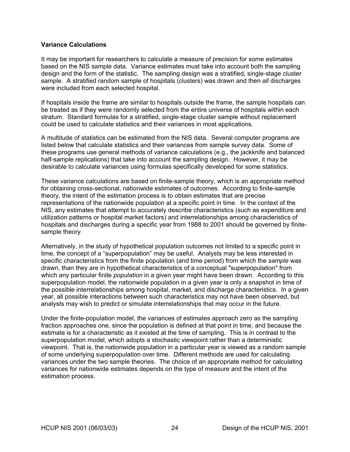### <span id="page-30-0"></span>**Variance Calculations**

It may be important for researchers to calculate a measure of precision for some estimates based on the NIS sample data. Variance estimates must take into account both the sampling design and the form of the statistic. The sampling design was a stratified, single-stage cluster sample. A stratified random sample of hospitals (clusters) was drawn and then *all* discharges were included from each selected hospital.

If hospitals inside the frame are similar to hospitals outside the frame, the sample hospitals can be treated as if they were randomly selected from the entire universe of hospitals within each stratum. Standard formulas for a stratified, single-stage cluster sample without replacement could be used to calculate statistics and their variances in most applications.

A multitude of statistics can be estimated from the NIS data. Several computer programs are listed below that calculate statistics and their variances from sample survey data. Some of these programs use general methods of variance calculations (e.g., the jackknife and balanced half-sample replications) that take into account the sampling design. However, it may be desirable to calculate variances using formulas specifically developed for some statistics.

These variance calculations are based on finite-sample theory, which is an appropriate method for obtaining cross-sectional, nationwide estimates of outcomes. According to finite-sample theory, the intent of the estimation process is to obtain estimates that are precise representations of the nationwide population at a specific point in time. In the context of the NIS, any estimates that attempt to accurately describe characteristics (such as expenditure and utilization patterns or hospital market factors) and interrelationships among characteristics of hospitals and discharges during a specific year from 1988 to 2001 should be governed by finitesample theory.

Alternatively, in the study of hypothetical population outcomes not limited to a specific point in time, the concept of a "superpopulation" may be useful. Analysts may be less interested in specific characteristics from the finite population (and time period) from which the *sample* was drawn, than they are in hypothetical characteristics of a conceptual "superpopulation" from which any particular finite *population* in a given year might have been drawn. According to this superpopulation model, the nationwide population in a given year is only a snapshot in time of the possible interrelationships among hospital, market, and discharge characteristics. In a given year, all possible interactions between such characteristics may not have been observed, but analysts may wish to predict or simulate interrelationships that may occur in the future.

Under the finite-population model, the variances of estimates approach zero as the sampling fraction approaches one, since the population is defined at that point in time, and because the estimate is for a characteristic as it existed at the time of sampling. This is in contrast to the superpopulation model, which adopts a stochastic viewpoint rather than a deterministic viewpoint. That is, the nationwide population in a particular year is viewed as a random sample of some underlying superpopulation over time. Different methods are used for calculating variances under the two sample theories. The choice of an appropriate method for calculating variances for nationwide estimates depends on the type of measure and the intent of the estimation process.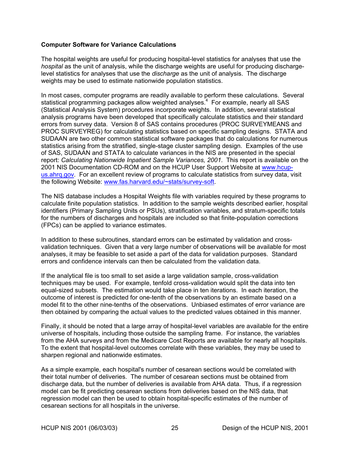# <span id="page-31-0"></span>**Computer Software for Variance Calculations**

The hospital weights are useful for producing hospital-level statistics for analyses that use the *hospital* as the unit of analysis, while the discharge weights are useful for producing dischargelevel statistics for analyses that use the *discharge* as the unit of analysis. The discharge weights may be used to estimate nationwide population statistics.

In most cases, computer programs are readily available to perform these calculations. Several statistical programming packages allow weighted analyses.<sup>[4](#page-33-4)</sup> For example, nearly all SAS (Statistical Analysis System) procedures incorporate weights. In addition, several statistical analysis programs have been developed that specifically calculate statistics and their standard errors from survey data. Version 8 of SAS contains procedures (PROC SURVEYMEANS and PROC SURVEYREG) for calculating statistics based on specific sampling designs. STATA and SUDAAN are two other common statistical software packages that do calculations for numerous statistics arising from the stratified, single-stage cluster sampling design. Examples of the use of SAS, SUDAAN and STATA to calculate variances in the NIS are presented in the special report: *Calculating Nationwide Inpatient Sample Variances, 2001*. This report is available on the 2001 NIS Documentation CD-ROM and on the HCUP User Support Website at [www.hcup](http://www.hcup-us.ahrq.gov/)[us.ahrq.gov.](http://www.hcup-us.ahrq.gov/) For an excellent review of programs to calculate statistics from survey data, visit the following Website: [www.fas.harvard.edu/~stats/survey-soft.](http://www.fas.harvard.edu/~stats/survey-soft)

The NIS database includes a Hospital Weights file with variables required by these programs to calculate finite population statistics. In addition to the sample weights described earlier, hospital identifiers (Primary Sampling Units or PSUs), stratification variables, and stratum-specific totals for the numbers of discharges and hospitals are included so that finite-population corrections (FPCs) can be applied to variance estimates.

In addition to these subroutines, standard errors can be estimated by validation and crossvalidation techniques. Given that a very large number of observations will be available for most analyses, it may be feasible to set aside a part of the data for validation purposes. Standard errors and confidence intervals can then be calculated from the validation data.

If the analytical file is too small to set aside a large validation sample, cross-validation techniques may be used. For example, tenfold cross-validation would split the data into ten equal-sized subsets. The estimation would take place in ten iterations. In each iteration, the outcome of interest is predicted for one-tenth of the observations by an estimate based on a model fit to the other nine-tenths of the observations. Unbiased estimates of error variance are then obtained by comparing the actual values to the predicted values obtained in this manner.

Finally, it should be noted that a large array of hospital-level variables are available for the entire universe of hospitals, including those outside the sampling frame. For instance, the variables from the AHA surveys and from the Medicare Cost Reports are available for nearly all hospitals. To the extent that hospital-level outcomes correlate with these variables, they may be used to sharpen regional and nationwide estimates.

As a simple example, each hospital's number of cesarean sections would be correlated with their total number of deliveries. The number of cesarean sections must be obtained from discharge data, but the number of deliveries is available from AHA data. Thus, if a regression model can be fit predicting cesarean sections from deliveries based on the NIS data, that regression model can then be used to obtain hospital-specific estimates of the number of cesarean sections for all hospitals in the universe.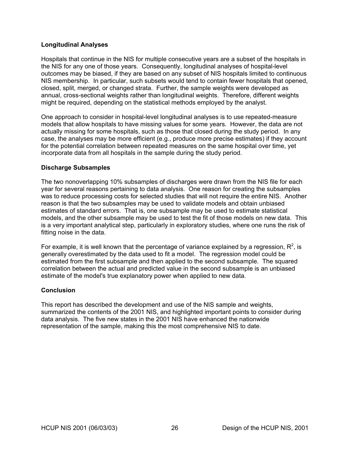# <span id="page-32-0"></span>**Longitudinal Analyses**

Hospitals that continue in the NIS for multiple consecutive years are a subset of the hospitals in the NIS for any one of those years. Consequently, longitudinal analyses of hospital-level outcomes may be biased, if they are based on any subset of NIS hospitals limited to continuous NIS membership. In particular, such subsets would tend to contain fewer hospitals that opened, closed, split, merged, or changed strata. Further, the sample weights were developed as annual, cross-sectional weights rather than longitudinal weights. Therefore, different weights might be required, depending on the statistical methods employed by the analyst.

One approach to consider in hospital-level longitudinal analyses is to use repeated-measure models that allow hospitals to have missing values for some years. However, the data are not actually missing for some hospitals, such as those that closed during the study period. In any case, the analyses may be more efficient (e.g., produce more precise estimates) if they account for the potential correlation between repeated measures on the same hospital over time, yet incorporate data from all hospitals in the sample during the study period.

### **Discharge Subsamples**

The two nonoverlapping 10% subsamples of discharges were drawn from the NIS file for each year for several reasons pertaining to data analysis. One reason for creating the subsamples was to reduce processing costs for selected studies that will not require the entire NIS. Another reason is that the two subsamples may be used to validate models and obtain unbiased estimates of standard errors. That is, one subsample may be used to estimate statistical models, and the other subsample may be used to test the fit of those models on new data. This is a very important analytical step, particularly in exploratory studies, where one runs the risk of fitting noise in the data.

For example, it is well known that the percentage of variance explained by a regression,  $R^2$ , is generally overestimated by the data used to fit a model. The regression model could be estimated from the first subsample and then applied to the second subsample. The squared correlation between the actual and predicted value in the second subsample is an unbiased estimate of the model's true explanatory power when applied to new data.

#### **Conclusion**

This report has described the development and use of the NIS sample and weights, summarized the contents of the 2001 NIS, and highlighted important points to consider during data analysis. The five new states in the 2001 NIS have enhanced the nationwide representation of the sample, making this the most comprehensive NIS to date.